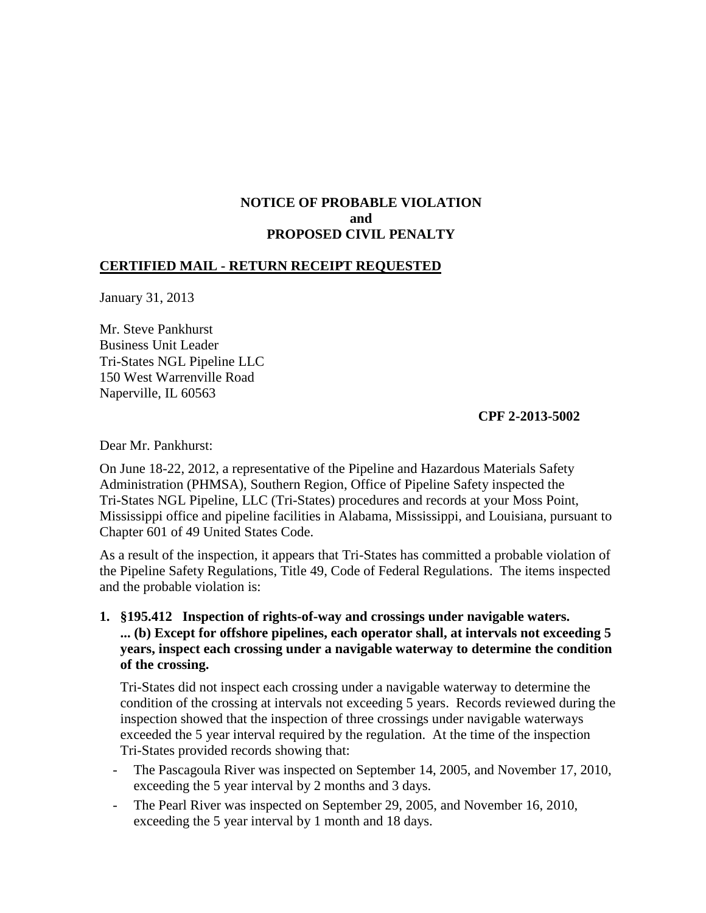## **NOTICE OF PROBABLE VIOLATION and PROPOSED CIVIL PENALTY**

## **CERTIFIED MAIL - RETURN RECEIPT REQUESTED**

January 31, 2013

Mr. Steve Pankhurst Business Unit Leader Tri-States NGL Pipeline LLC 150 West Warrenville Road Naperville, IL 60563

**CPF 2-2013-5002** 

Dear Mr. Pankhurst:

On June 18-22, 2012, a representative of the Pipeline and Hazardous Materials Safety Administration (PHMSA), Southern Region, Office of Pipeline Safety inspected the Tri-States NGL Pipeline, LLC (Tri-States) procedures and records at your Moss Point, Mississippi office and pipeline facilities in Alabama, Mississippi, and Louisiana, pursuant to Chapter 601 of 49 United States Code.

As a result of the inspection, it appears that Tri-States has committed a probable violation of the Pipeline Safety Regulations, Title 49, Code of Federal Regulations. The items inspected and the probable violation is:

**1. §195.412 Inspection of rights-of-way and crossings under navigable waters. ... (b) Except for offshore pipelines, each operator shall, at intervals not exceeding 5 years, inspect each crossing under a navigable waterway to determine the condition of the crossing.**

Tri-States did not inspect each crossing under a navigable waterway to determine the condition of the crossing at intervals not exceeding 5 years. Records reviewed during the inspection showed that the inspection of three crossings under navigable waterways exceeded the 5 year interval required by the regulation. At the time of the inspection Tri-States provided records showing that:

- The Pascagoula River was inspected on September 14, 2005, and November 17, 2010, exceeding the 5 year interval by 2 months and 3 days.
- The Pearl River was inspected on September 29, 2005, and November 16, 2010, exceeding the 5 year interval by 1 month and 18 days.